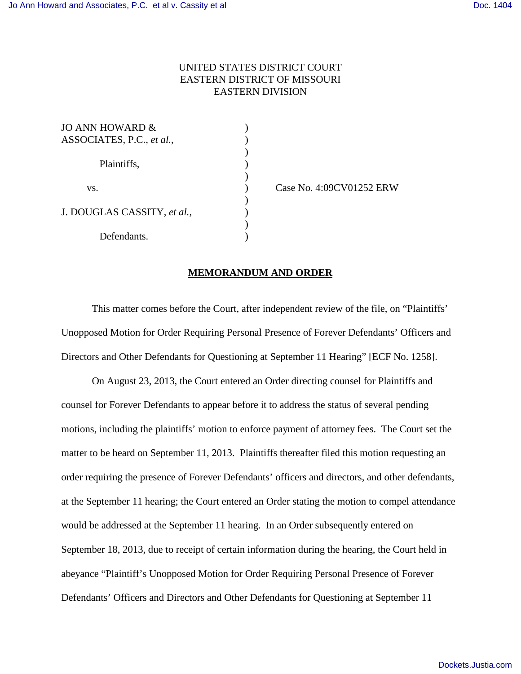## UNITED STATES DISTRICT COURT EASTERN DISTRICT OF MISSOURI EASTERN DIVISION

 $\mathcal{L}$ 

)

 $\mathcal{L}$ 

)

| JO ANN HOWARD &             |  |
|-----------------------------|--|
| ASSOCIATES, P.C., et al.,   |  |
|                             |  |
| Plaintiffs,                 |  |
|                             |  |
| VS.                         |  |
|                             |  |
| J. DOUGLAS CASSITY, et al., |  |
|                             |  |
| Defendants.                 |  |

) Case No. 4:09CV01252 ERW

## **MEMORANDUM AND ORDER**

This matter comes before the Court, after independent review of the file, on "Plaintiffs' Unopposed Motion for Order Requiring Personal Presence of Forever Defendants' Officers and Directors and Other Defendants for Questioning at September 11 Hearing" [ECF No. 1258].

On August 23, 2013, the Court entered an Order directing counsel for Plaintiffs and counsel for Forever Defendants to appear before it to address the status of several pending motions, including the plaintiffs' motion to enforce payment of attorney fees. The Court set the matter to be heard on September 11, 2013. Plaintiffs thereafter filed this motion requesting an order requiring the presence of Forever Defendants' officers and directors, and other defendants, at the September 11 hearing; the Court entered an Order stating the motion to compel attendance would be addressed at the September 11 hearing. In an Order subsequently entered on September 18, 2013, due to receipt of certain information during the hearing, the Court held in abeyance "Plaintiff's Unopposed Motion for Order Requiring Personal Presence of Forever Defendants' Officers and Directors and Other Defendants for Questioning at September 11